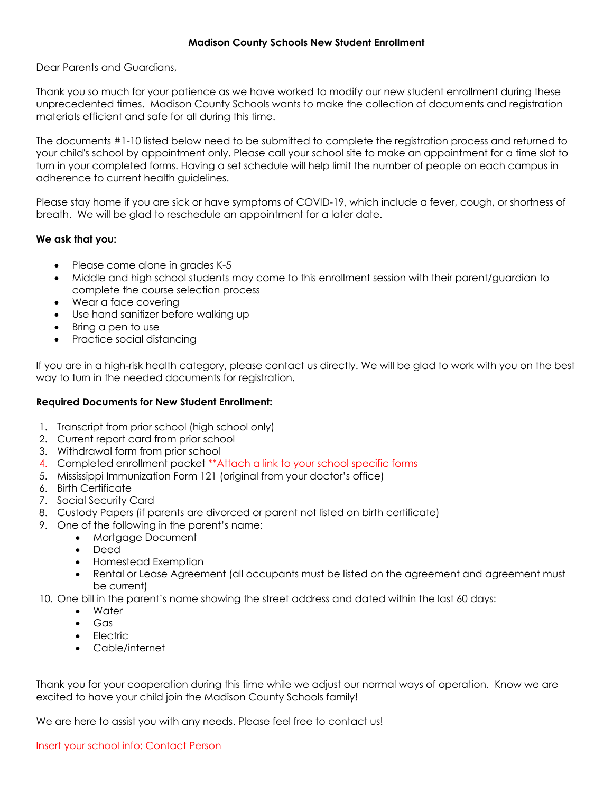## **Madison County Schools New Student Enrollment**

Dear Parents and Guardians,

Thank you so much for your patience as we have worked to modify our new student enrollment during these unprecedented times. Madison County Schools wants to make the collection of documents and registration materials efficient and safe for all during this time.

The documents #1-10 listed below need to be submitted to complete the registration process and returned to your child's school by appointment only. Please call your school site to make an appointment for a time slot to turn in your completed forms. Having a set schedule will help limit the number of people on each campus in adherence to current health guidelines.

Please stay home if you are sick or have symptoms of COVID-19, which include a fever, cough, or shortness of breath. We will be glad to reschedule an appointment for a later date.

## **We ask that you:**

- Please come alone in grades K-5
- Middle and high school students may come to this enrollment session with their parent/guardian to complete the course selection process
- Wear a face covering
- Use hand sanitizer before walking up
- Bring a pen to use
- Practice social distancing

If you are in a high-risk health category, please contact us directly. We will be glad to work with you on the best way to turn in the needed documents for registration.

## **Required Documents for New Student Enrollment:**

- 1. Transcript from prior school (high school only)
- 2. Current report card from prior school
- 3. Withdrawal form from prior school
- 4. Completed enrollment packet \*\*Attach a link to your school specific forms
- 5. Mississippi Immunization Form 121 (original from your doctor's office)
- 6. Birth Certificate
- 7. Social Security Card
- 8. Custody Papers (if parents are divorced or parent not listed on birth certificate)
- 9. One of the following in the parent's name:
	- Mortgage Document
	- Deed
	- Homestead Exemption
	- Rental or Lease Agreement (all occupants must be listed on the agreement and agreement must be current)
- 10. One bill in the parent's name showing the street address and dated within the last 60 days:
	- Water
	- Gas
	- Electric
	- Cable/internet

Thank you for your cooperation during this time while we adjust our normal ways of operation. Know we are excited to have your child join the Madison County Schools family!

We are here to assist you with any needs. Please feel free to contact us!

## Insert your school info: Contact Person